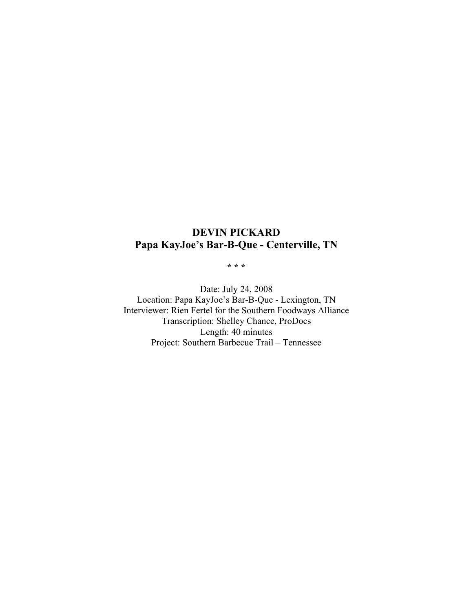# **DEVIN PICKARD Papa KayJoe's Bar-B-Que - Centerville, TN**

**\* \* \***

Date: July 24, 2008 Location: Papa KayJoe's Bar-B-Que - Lexington, TN Interviewer: Rien Fertel for the Southern Foodways Alliance Transcription: Shelley Chance, ProDocs Length: 40 minutes Project: Southern Barbecue Trail – Tennessee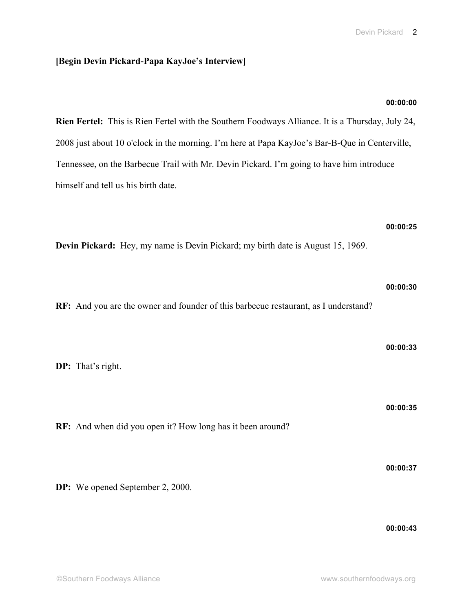# **[Begin Devin Pickard-Papa KayJoe's Interview]**

**Rien Fertel:** This is Rien Fertel with the Southern Foodways Alliance. It is a Thursday, July 24, 2008 just about 10 o'clock in the morning. I'm here at Papa KayJoe's Bar-B-Que in Centerville, Tennessee, on the Barbecue Trail with Mr. Devin Pickard. I'm going to have him introduce himself and tell us his birth date.

# **00:00:25**

**00:00:00**

**Devin Pickard:** Hey, my name is Devin Pickard; my birth date is August 15, 1969.

# **RF:** And you are the owner and founder of this barbecue restaurant, as I understand?

**DP:** That's right.

**RF:** And when did you open it? How long has it been around?

**DP:** We opened September 2, 2000.

**00:00:43**

**00:00:37**

**00:00:30**

**00:00:33**

**00:00:35**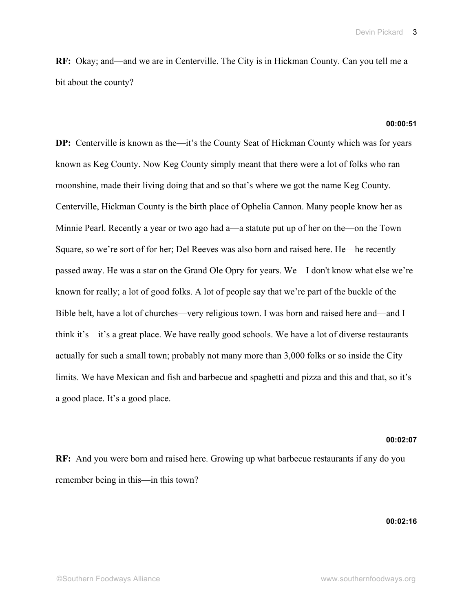**RF:** Okay; and—and we are in Centerville. The City is in Hickman County. Can you tell me a bit about the county?

## **00:00:51**

**DP:** Centerville is known as the—it's the County Seat of Hickman County which was for years known as Keg County. Now Keg County simply meant that there were a lot of folks who ran moonshine, made their living doing that and so that's where we got the name Keg County. Centerville, Hickman County is the birth place of Ophelia Cannon. Many people know her as Minnie Pearl. Recently a year or two ago had a—a statute put up of her on the—on the Town Square, so we're sort of for her; Del Reeves was also born and raised here. He—he recently passed away. He was a star on the Grand Ole Opry for years. We—I don't know what else we're known for really; a lot of good folks. A lot of people say that we're part of the buckle of the Bible belt, have a lot of churches—very religious town. I was born and raised here and—and I think it's—it's a great place. We have really good schools. We have a lot of diverse restaurants actually for such a small town; probably not many more than 3,000 folks or so inside the City limits. We have Mexican and fish and barbecue and spaghetti and pizza and this and that, so it's a good place. It's a good place.

#### **00:02:07**

**RF:** And you were born and raised here. Growing up what barbecue restaurants if any do you remember being in this—in this town?

## **00:02:16**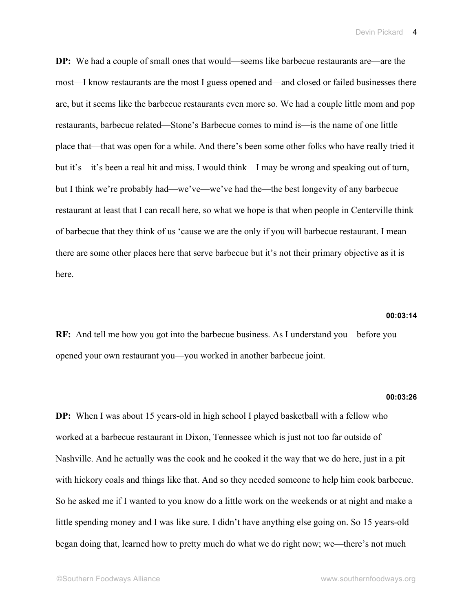**DP:** We had a couple of small ones that would—seems like barbecue restaurants are—are the most—I know restaurants are the most I guess opened and—and closed or failed businesses there are, but it seems like the barbecue restaurants even more so. We had a couple little mom and pop restaurants, barbecue related—Stone's Barbecue comes to mind is—is the name of one little place that—that was open for a while. And there's been some other folks who have really tried it but it's—it's been a real hit and miss. I would think—I may be wrong and speaking out of turn, but I think we're probably had—we've—we've had the—the best longevity of any barbecue restaurant at least that I can recall here, so what we hope is that when people in Centerville think of barbecue that they think of us 'cause we are the only if you will barbecue restaurant. I mean there are some other places here that serve barbecue but it's not their primary objective as it is here.

#### **00:03:14**

**RF:** And tell me how you got into the barbecue business. As I understand you—before you opened your own restaurant you—you worked in another barbecue joint.

#### **00:03:26**

**DP:** When I was about 15 years-old in high school I played basketball with a fellow who worked at a barbecue restaurant in Dixon, Tennessee which is just not too far outside of Nashville. And he actually was the cook and he cooked it the way that we do here, just in a pit with hickory coals and things like that. And so they needed someone to help him cook barbecue. So he asked me if I wanted to you know do a little work on the weekends or at night and make a little spending money and I was like sure. I didn't have anything else going on. So 15 years-old began doing that, learned how to pretty much do what we do right now; we—there's not much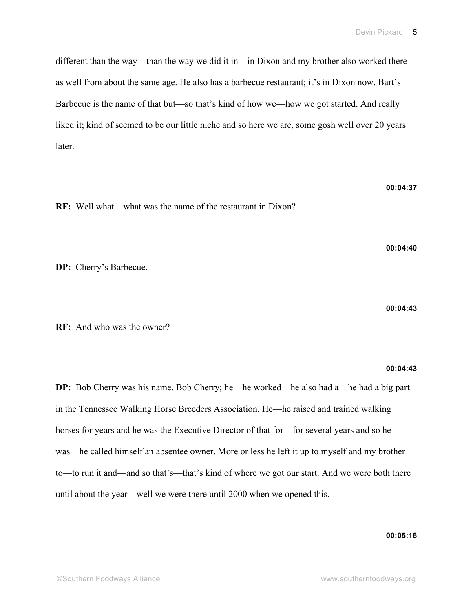different than the way—than the way we did it in—in Dixon and my brother also worked there as well from about the same age. He also has a barbecue restaurant; it's in Dixon now. Bart's Barbecue is the name of that but—so that's kind of how we—how we got started. And really liked it; kind of seemed to be our little niche and so here we are, some gosh well over 20 years later.

**RF:** Well what—what was the name of the restaurant in Dixon?

**DP:** Cherry's Barbecue.

**00:04:43**

**00:04:37**

**00:04:40**

**RF:** And who was the owner?

# **00:04:43**

**DP:** Bob Cherry was his name. Bob Cherry; he—he worked—he also had a—he had a big part in the Tennessee Walking Horse Breeders Association. He—he raised and trained walking horses for years and he was the Executive Director of that for—for several years and so he was—he called himself an absentee owner. More or less he left it up to myself and my brother to—to run it and—and so that's—that's kind of where we got our start. And we were both there until about the year—well we were there until 2000 when we opened this.

**00:05:16**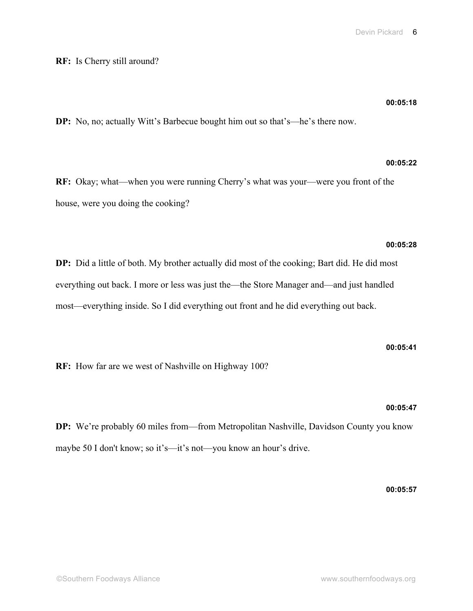# **RF:** Is Cherry still around?

## **00:05:18**

**DP:** No, no; actually Witt's Barbecue bought him out so that's—he's there now.

# **00:05:22**

**RF:** Okay; what—when you were running Cherry's what was your—were you front of the house, were you doing the cooking?

# **00:05:28**

**DP:** Did a little of both. My brother actually did most of the cooking; Bart did. He did most everything out back. I more or less was just the—the Store Manager and—and just handled most—everything inside. So I did everything out front and he did everything out back.

# **00:05:41**

**RF:** How far are we west of Nashville on Highway 100?

# **00:05:47**

**DP:** We're probably 60 miles from—from Metropolitan Nashville, Davidson County you know maybe 50 I don't know; so it's—it's not—you know an hour's drive.

**00:05:57**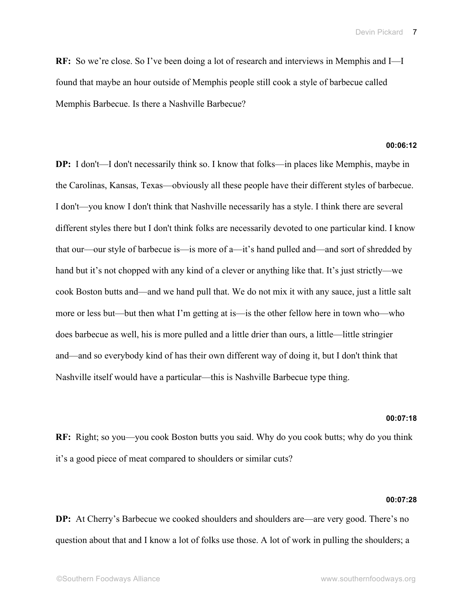**RF:** So we're close. So I've been doing a lot of research and interviews in Memphis and I—I found that maybe an hour outside of Memphis people still cook a style of barbecue called Memphis Barbecue. Is there a Nashville Barbecue?

## **00:06:12**

**DP:** I don't—I don't necessarily think so. I know that folks—in places like Memphis, maybe in the Carolinas, Kansas, Texas—obviously all these people have their different styles of barbecue. I don't—you know I don't think that Nashville necessarily has a style. I think there are several different styles there but I don't think folks are necessarily devoted to one particular kind. I know that our—our style of barbecue is—is more of a—it's hand pulled and—and sort of shredded by hand but it's not chopped with any kind of a clever or anything like that. It's just strictly—we cook Boston butts and—and we hand pull that. We do not mix it with any sauce, just a little salt more or less but—but then what I'm getting at is—is the other fellow here in town who—who does barbecue as well, his is more pulled and a little drier than ours, a little—little stringier and—and so everybody kind of has their own different way of doing it, but I don't think that Nashville itself would have a particular—this is Nashville Barbecue type thing.

#### **00:07:18**

**RF:** Right; so you—you cook Boston butts you said. Why do you cook butts; why do you think it's a good piece of meat compared to shoulders or similar cuts?

#### **00:07:28**

**DP:** At Cherry's Barbecue we cooked shoulders and shoulders are—are very good. There's no question about that and I know a lot of folks use those. A lot of work in pulling the shoulders; a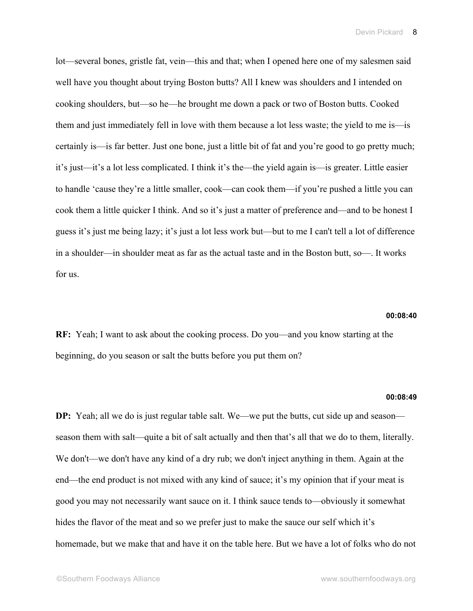lot—several bones, gristle fat, vein—this and that; when I opened here one of my salesmen said well have you thought about trying Boston butts? All I knew was shoulders and I intended on cooking shoulders, but—so he—he brought me down a pack or two of Boston butts. Cooked them and just immediately fell in love with them because a lot less waste; the yield to me is—is certainly is—is far better. Just one bone, just a little bit of fat and you're good to go pretty much; it's just—it's a lot less complicated. I think it's the—the yield again is—is greater. Little easier to handle 'cause they're a little smaller, cook—can cook them—if you're pushed a little you can cook them a little quicker I think. And so it's just a matter of preference and—and to be honest I guess it's just me being lazy; it's just a lot less work but—but to me I can't tell a lot of difference in a shoulder—in shoulder meat as far as the actual taste and in the Boston butt, so—. It works for us.

#### **00:08:40**

**RF:** Yeah; I want to ask about the cooking process. Do you—and you know starting at the beginning, do you season or salt the butts before you put them on?

#### **00:08:49**

**DP:** Yeah; all we do is just regular table salt. We—we put the butts, cut side up and season season them with salt—quite a bit of salt actually and then that's all that we do to them, literally. We don't—we don't have any kind of a dry rub; we don't inject anything in them. Again at the end—the end product is not mixed with any kind of sauce; it's my opinion that if your meat is good you may not necessarily want sauce on it. I think sauce tends to—obviously it somewhat hides the flavor of the meat and so we prefer just to make the sauce our self which it's homemade, but we make that and have it on the table here. But we have a lot of folks who do not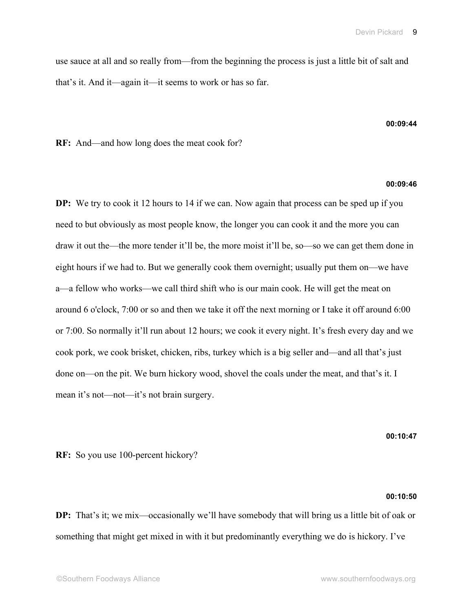use sauce at all and so really from—from the beginning the process is just a little bit of salt and that's it. And it—again it—it seems to work or has so far.

#### **00:09:44**

**RF:** And—and how long does the meat cook for?

# **00:09:46**

**DP:** We try to cook it 12 hours to 14 if we can. Now again that process can be sped up if you need to but obviously as most people know, the longer you can cook it and the more you can draw it out the—the more tender it'll be, the more moist it'll be, so—so we can get them done in eight hours if we had to. But we generally cook them overnight; usually put them on—we have a—a fellow who works—we call third shift who is our main cook. He will get the meat on around 6 o'clock, 7:00 or so and then we take it off the next morning or I take it off around 6:00 or 7:00. So normally it'll run about 12 hours; we cook it every night. It's fresh every day and we cook pork, we cook brisket, chicken, ribs, turkey which is a big seller and—and all that's just done on—on the pit. We burn hickory wood, shovel the coals under the meat, and that's it. I mean it's not—not—it's not brain surgery.

**00:10:47**

**RF:** So you use 100-percent hickory?

#### **00:10:50**

**DP:** That's it; we mix—occasionally we'll have somebody that will bring us a little bit of oak or something that might get mixed in with it but predominantly everything we do is hickory. I've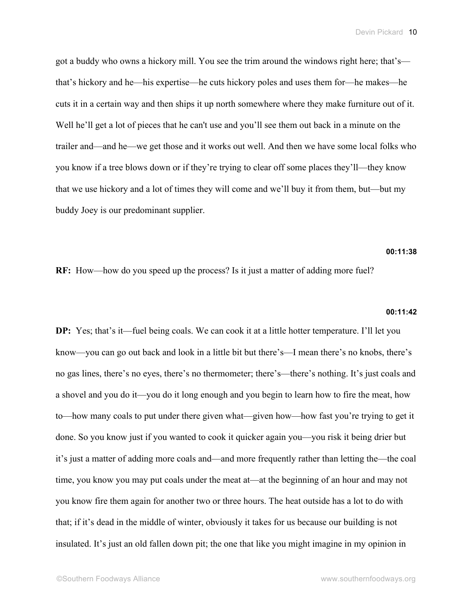got a buddy who owns a hickory mill. You see the trim around the windows right here; that's that's hickory and he—his expertise—he cuts hickory poles and uses them for—he makes—he cuts it in a certain way and then ships it up north somewhere where they make furniture out of it. Well he'll get a lot of pieces that he can't use and you'll see them out back in a minute on the trailer and—and he—we get those and it works out well. And then we have some local folks who you know if a tree blows down or if they're trying to clear off some places they'll—they know that we use hickory and a lot of times they will come and we'll buy it from them, but—but my buddy Joey is our predominant supplier.

# **00:11:38**

**RF:** How—how do you speed up the process? Is it just a matter of adding more fuel?

#### **00:11:42**

**DP:** Yes; that's it—fuel being coals. We can cook it at a little hotter temperature. I'll let you know—you can go out back and look in a little bit but there's—I mean there's no knobs, there's no gas lines, there's no eyes, there's no thermometer; there's—there's nothing. It's just coals and a shovel and you do it—you do it long enough and you begin to learn how to fire the meat, how to—how many coals to put under there given what—given how—how fast you're trying to get it done. So you know just if you wanted to cook it quicker again you—you risk it being drier but it's just a matter of adding more coals and—and more frequently rather than letting the—the coal time, you know you may put coals under the meat at—at the beginning of an hour and may not you know fire them again for another two or three hours. The heat outside has a lot to do with that; if it's dead in the middle of winter, obviously it takes for us because our building is not insulated. It's just an old fallen down pit; the one that like you might imagine in my opinion in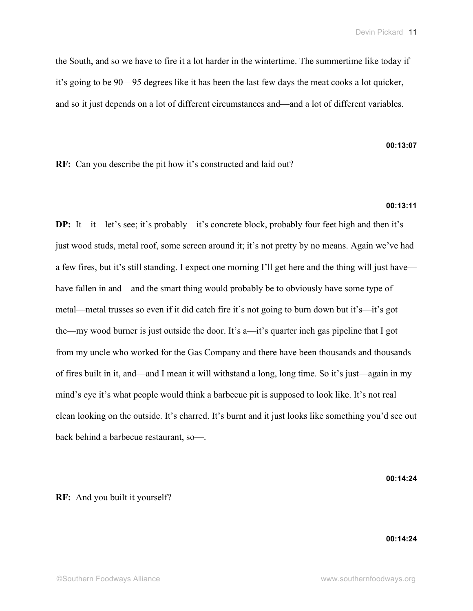the South, and so we have to fire it a lot harder in the wintertime. The summertime like today if it's going to be 90—95 degrees like it has been the last few days the meat cooks a lot quicker, and so it just depends on a lot of different circumstances and—and a lot of different variables.

# **00:13:07**

**RF:** Can you describe the pit how it's constructed and laid out?

# **00:13:11**

**DP:** It—it—let's see; it's probably—it's concrete block, probably four feet high and then it's just wood studs, metal roof, some screen around it; it's not pretty by no means. Again we've had a few fires, but it's still standing. I expect one morning I'll get here and the thing will just have have fallen in and—and the smart thing would probably be to obviously have some type of metal—metal trusses so even if it did catch fire it's not going to burn down but it's—it's got the—my wood burner is just outside the door. It's a—it's quarter inch gas pipeline that I got from my uncle who worked for the Gas Company and there have been thousands and thousands of fires built in it, and—and I mean it will withstand a long, long time. So it's just—again in my mind's eye it's what people would think a barbecue pit is supposed to look like. It's not real clean looking on the outside. It's charred. It's burnt and it just looks like something you'd see out back behind a barbecue restaurant, so—.

**00:14:24**

# **RF:** And you built it yourself?

#### **00:14:24**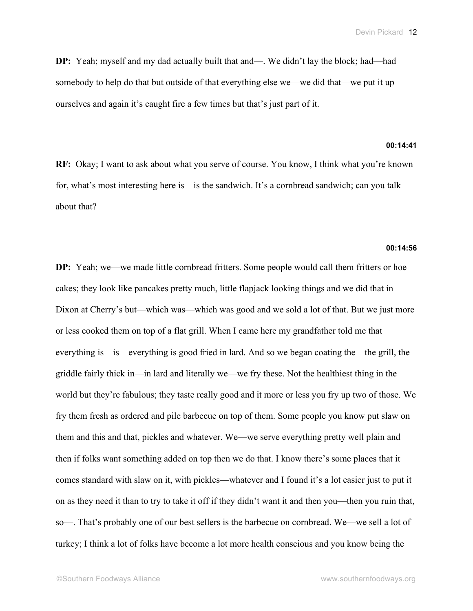**DP:** Yeah; myself and my dad actually built that and—. We didn't lay the block; had—had somebody to help do that but outside of that everything else we—we did that—we put it up ourselves and again it's caught fire a few times but that's just part of it.

# **00:14:41**

**RF:** Okay; I want to ask about what you serve of course. You know, I think what you're known for, what's most interesting here is—is the sandwich. It's a cornbread sandwich; can you talk about that?

#### **00:14:56**

**DP:** Yeah; we—we made little cornbread fritters. Some people would call them fritters or hoe cakes; they look like pancakes pretty much, little flapjack looking things and we did that in Dixon at Cherry's but—which was—which was good and we sold a lot of that. But we just more or less cooked them on top of a flat grill. When I came here my grandfather told me that everything is—is—everything is good fried in lard. And so we began coating the—the grill, the griddle fairly thick in—in lard and literally we—we fry these. Not the healthiest thing in the world but they're fabulous; they taste really good and it more or less you fry up two of those. We fry them fresh as ordered and pile barbecue on top of them. Some people you know put slaw on them and this and that, pickles and whatever. We—we serve everything pretty well plain and then if folks want something added on top then we do that. I know there's some places that it comes standard with slaw on it, with pickles—whatever and I found it's a lot easier just to put it on as they need it than to try to take it off if they didn't want it and then you—then you ruin that, so—. That's probably one of our best sellers is the barbecue on cornbread. We—we sell a lot of turkey; I think a lot of folks have become a lot more health conscious and you know being the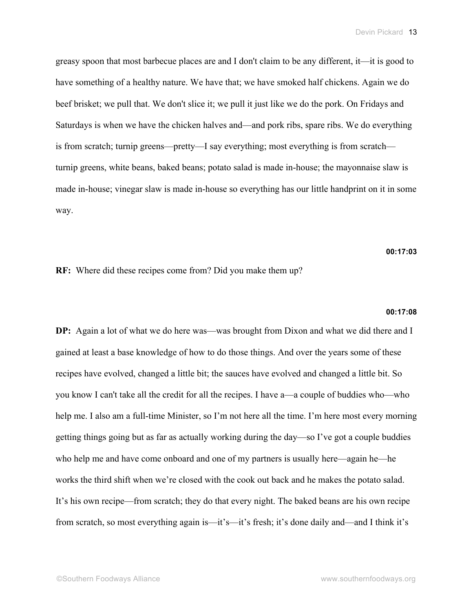greasy spoon that most barbecue places are and I don't claim to be any different, it—it is good to have something of a healthy nature. We have that; we have smoked half chickens. Again we do beef brisket; we pull that. We don't slice it; we pull it just like we do the pork. On Fridays and Saturdays is when we have the chicken halves and—and pork ribs, spare ribs. We do everything is from scratch; turnip greens—pretty—I say everything; most everything is from scratch turnip greens, white beans, baked beans; potato salad is made in-house; the mayonnaise slaw is made in-house; vinegar slaw is made in-house so everything has our little handprint on it in some way.

# **00:17:03**

**RF:** Where did these recipes come from? Did you make them up?

#### **00:17:08**

**DP:** Again a lot of what we do here was—was brought from Dixon and what we did there and I gained at least a base knowledge of how to do those things. And over the years some of these recipes have evolved, changed a little bit; the sauces have evolved and changed a little bit. So you know I can't take all the credit for all the recipes. I have a—a couple of buddies who—who help me. I also am a full-time Minister, so I'm not here all the time. I'm here most every morning getting things going but as far as actually working during the day—so I've got a couple buddies who help me and have come onboard and one of my partners is usually here—again he—he works the third shift when we're closed with the cook out back and he makes the potato salad. It's his own recipe—from scratch; they do that every night. The baked beans are his own recipe from scratch, so most everything again is—it's—it's fresh; it's done daily and—and I think it's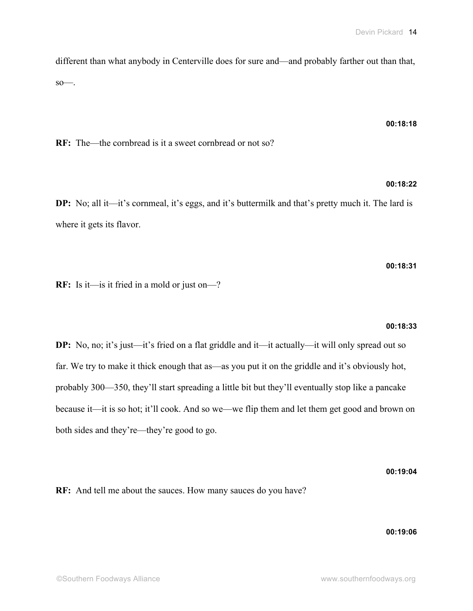different than what anybody in Centerville does for sure and—and probably farther out than that,  $so$ —.

# **00:18:18**

**RF:** The—the cornbread is it a sweet cornbread or not so?

# **00:18:22**

**DP:** No; all it—it's cornmeal, it's eggs, and it's buttermilk and that's pretty much it. The lard is where it gets its flavor.

# **00:18:31**

**RF:** Is it—is it fried in a mold or just on—?

# **00:18:33**

**00:19:04**

**00:19:06**

**DP:** No, no; it's just—it's fried on a flat griddle and it—it actually—it will only spread out so far. We try to make it thick enough that as—as you put it on the griddle and it's obviously hot, probably 300—350, they'll start spreading a little bit but they'll eventually stop like a pancake because it—it is so hot; it'll cook. And so we—we flip them and let them get good and brown on both sides and they're—they're good to go.

**RF:** And tell me about the sauces. How many sauces do you have?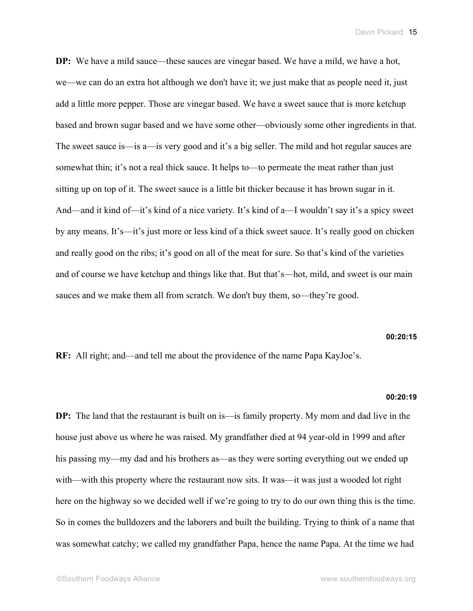**DP:** We have a mild sauce—these sauces are vinegar based. We have a mild, we have a hot, we—we can do an extra hot although we don't have it; we just make that as people need it, just add a little more pepper. Those are vinegar based. We have a sweet sauce that is more ketchup based and brown sugar based and we have some other—obviously some other ingredients in that. The sweet sauce is—is a—is very good and it's a big seller. The mild and hot regular sauces are somewhat thin; it's not a real thick sauce. It helps to—to permeate the meat rather than just sitting up on top of it. The sweet sauce is a little bit thicker because it has brown sugar in it. And—and it kind of—it's kind of a nice variety. It's kind of a—I wouldn't say it's a spicy sweet by any means. It's—it's just more or less kind of a thick sweet sauce. It's really good on chicken and really good on the ribs; it's good on all of the meat for sure. So that's kind of the varieties and of course we have ketchup and things like that. But that's—hot, mild, and sweet is our main sauces and we make them all from scratch. We don't buy them, so—they're good.

**00:20:15**

**RF:** All right; and—and tell me about the providence of the name Papa KayJoe's.

#### **00:20:19**

**DP:** The land that the restaurant is built on is—is family property. My mom and dad live in the house just above us where he was raised. My grandfather died at 94 year-old in 1999 and after his passing my—my dad and his brothers as—as they were sorting everything out we ended up with—with this property where the restaurant now sits. It was—it was just a wooded lot right here on the highway so we decided well if we're going to try to do our own thing this is the time. So in comes the bulldozers and the laborers and built the building. Trying to think of a name that was somewhat catchy; we called my grandfather Papa, hence the name Papa. At the time we had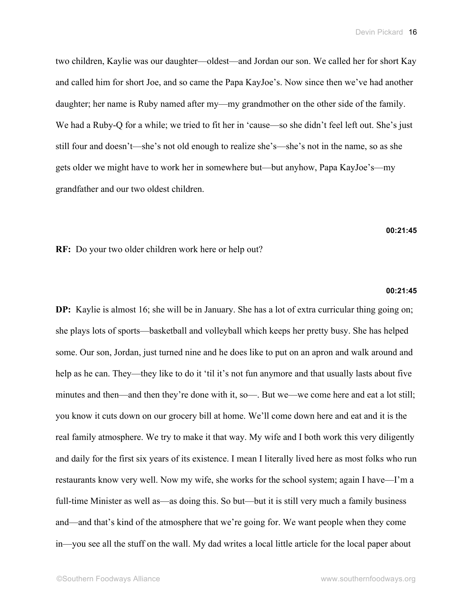two children, Kaylie was our daughter—oldest—and Jordan our son. We called her for short Kay and called him for short Joe, and so came the Papa KayJoe's. Now since then we've had another daughter; her name is Ruby named after my—my grandmother on the other side of the family. We had a Ruby-Q for a while; we tried to fit her in 'cause—so she didn't feel left out. She's just still four and doesn't—she's not old enough to realize she's—she's not in the name, so as she gets older we might have to work her in somewhere but—but anyhow, Papa KayJoe's—my grandfather and our two oldest children.

# **00:21:45**

**RF:** Do your two older children work here or help out?

# **00:21:45**

**DP:** Kaylie is almost 16; she will be in January. She has a lot of extra curricular thing going on; she plays lots of sports—basketball and volleyball which keeps her pretty busy. She has helped some. Our son, Jordan, just turned nine and he does like to put on an apron and walk around and help as he can. They—they like to do it 'til it's not fun anymore and that usually lasts about five minutes and then—and then they're done with it, so—. But we—we come here and eat a lot still; you know it cuts down on our grocery bill at home. We'll come down here and eat and it is the real family atmosphere. We try to make it that way. My wife and I both work this very diligently and daily for the first six years of its existence. I mean I literally lived here as most folks who run restaurants know very well. Now my wife, she works for the school system; again I have—I'm a full-time Minister as well as—as doing this. So but—but it is still very much a family business and—and that's kind of the atmosphere that we're going for. We want people when they come in—you see all the stuff on the wall. My dad writes a local little article for the local paper about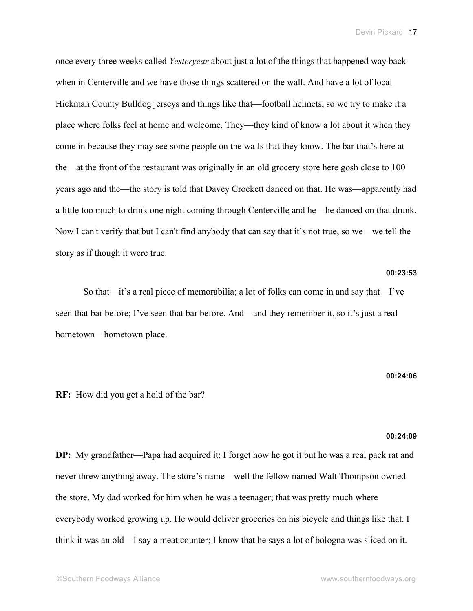once every three weeks called *Yesteryear* about just a lot of the things that happened way back when in Centerville and we have those things scattered on the wall. And have a lot of local Hickman County Bulldog jerseys and things like that—football helmets, so we try to make it a place where folks feel at home and welcome. They—they kind of know a lot about it when they come in because they may see some people on the walls that they know. The bar that's here at the—at the front of the restaurant was originally in an old grocery store here gosh close to 100 years ago and the—the story is told that Davey Crockett danced on that. He was—apparently had a little too much to drink one night coming through Centerville and he—he danced on that drunk. Now I can't verify that but I can't find anybody that can say that it's not true, so we—we tell the story as if though it were true.

# **00:23:53**

So that—it's a real piece of memorabilia; a lot of folks can come in and say that—I've seen that bar before; I've seen that bar before. And—and they remember it, so it's just a real hometown—hometown place.

#### **00:24:06**

**RF:** How did you get a hold of the bar?

#### **00:24:09**

**DP:** My grandfather—Papa had acquired it; I forget how he got it but he was a real pack rat and never threw anything away. The store's name—well the fellow named Walt Thompson owned the store. My dad worked for him when he was a teenager; that was pretty much where everybody worked growing up. He would deliver groceries on his bicycle and things like that. I think it was an old—I say a meat counter; I know that he says a lot of bologna was sliced on it.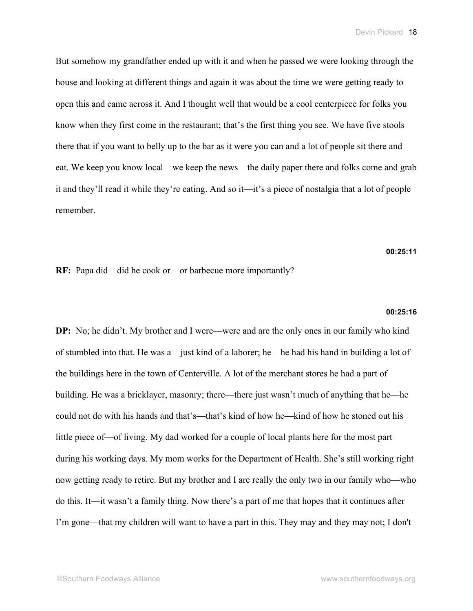But somehow my grandfather ended up with it and when he passed we were looking through the house and looking at different things and again it was about the time we were getting ready to open this and came across it. And I thought well that would be a cool centerpiece for folks you know when they first come in the restaurant; that's the first thing you see. We have five stools there that if you want to belly up to the bar as it were you can and a lot of people sit there and eat. We keep you know local—we keep the news—the daily paper there and folks come and grab it and they'll read it while they're eating. And so it—it's a piece of nostalgia that a lot of people remember.

# **00:25:11**

**RF:** Papa did—did he cook or—or barbecue more importantly?

#### **00:25:16**

**DP:** No; he didn't. My brother and I were—were and are the only ones in our family who kind of stumbled into that. He was a—just kind of a laborer; he—he had his hand in building a lot of the buildings here in the town of Centerville. A lot of the merchant stores he had a part of building. He was a bricklayer, masonry; there—there just wasn't much of anything that he—he could not do with his hands and that's—that's kind of how he—kind of how he stoned out his little piece of—of living. My dad worked for a couple of local plants here for the most part during his working days. My mom works for the Department of Health. She's still working right now getting ready to retire. But my brother and I are really the only two in our family who—who do this. It—it wasn't a family thing. Now there's a part of me that hopes that it continues after I'm gone—that my children will want to have a part in this. They may and they may not; I don't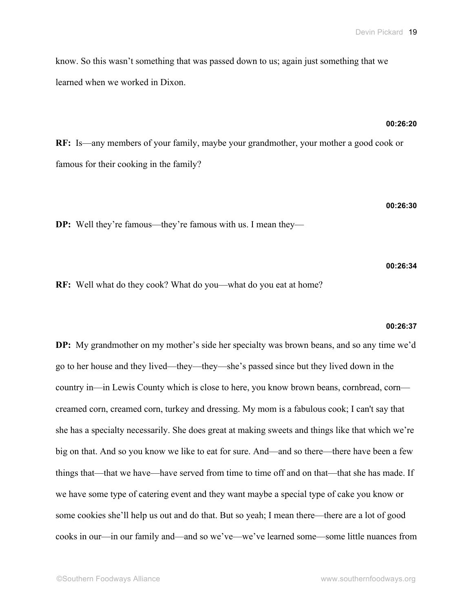know. So this wasn't something that was passed down to us; again just something that we learned when we worked in Dixon.

#### **00:26:20**

**RF:** Is—any members of your family, maybe your grandmother, your mother a good cook or famous for their cooking in the family?

**00:26:30**

**DP:** Well they're famous—they're famous with us. I mean they—

**00:26:34**

**RF:** Well what do they cook? What do you—what do you eat at home?

#### **00:26:37**

**DP:** My grandmother on my mother's side her specialty was brown beans, and so any time we'd go to her house and they lived—they—they—she's passed since but they lived down in the country in—in Lewis County which is close to here, you know brown beans, cornbread, corn creamed corn, creamed corn, turkey and dressing. My mom is a fabulous cook; I can't say that she has a specialty necessarily. She does great at making sweets and things like that which we're big on that. And so you know we like to eat for sure. And—and so there—there have been a few things that—that we have—have served from time to time off and on that—that she has made. If we have some type of catering event and they want maybe a special type of cake you know or some cookies she'll help us out and do that. But so yeah; I mean there—there are a lot of good cooks in our—in our family and—and so we've—we've learned some—some little nuances from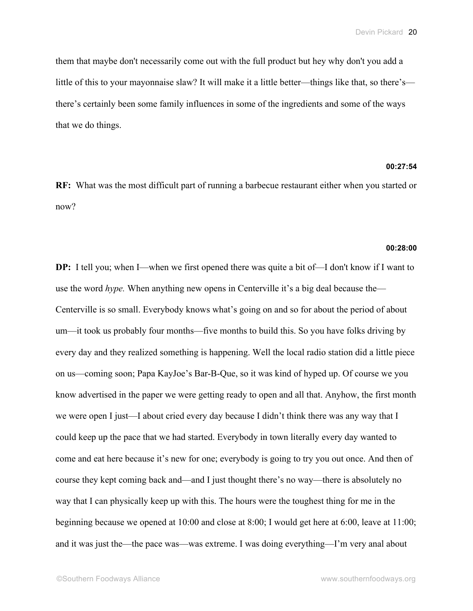them that maybe don't necessarily come out with the full product but hey why don't you add a little of this to your mayonnaise slaw? It will make it a little better—things like that, so there's there's certainly been some family influences in some of the ingredients and some of the ways that we do things.

# **00:27:54**

**RF:** What was the most difficult part of running a barbecue restaurant either when you started or now?

#### **00:28:00**

**DP:** I tell you; when I—when we first opened there was quite a bit of—I don't know if I want to use the word *hype*. When anything new opens in Centerville it's a big deal because the— Centerville is so small. Everybody knows what's going on and so for about the period of about um—it took us probably four months—five months to build this. So you have folks driving by every day and they realized something is happening. Well the local radio station did a little piece on us—coming soon; Papa KayJoe's Bar-B-Que, so it was kind of hyped up. Of course we you know advertised in the paper we were getting ready to open and all that. Anyhow, the first month we were open I just—I about cried every day because I didn't think there was any way that I could keep up the pace that we had started. Everybody in town literally every day wanted to come and eat here because it's new for one; everybody is going to try you out once. And then of course they kept coming back and—and I just thought there's no way—there is absolutely no way that I can physically keep up with this. The hours were the toughest thing for me in the beginning because we opened at 10:00 and close at 8:00; I would get here at 6:00, leave at 11:00; and it was just the—the pace was—was extreme. I was doing everything—I'm very anal about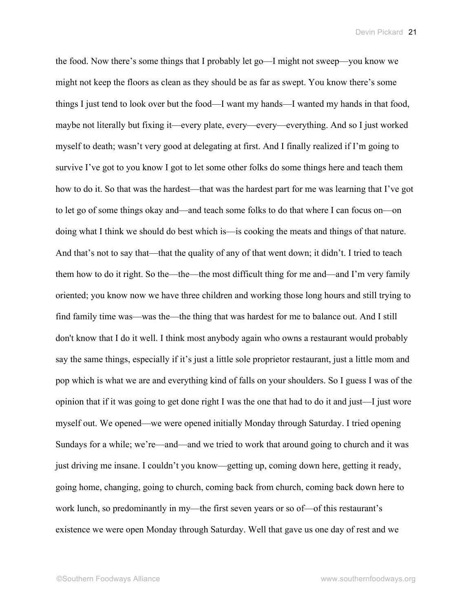the food. Now there's some things that I probably let go—I might not sweep—you know we might not keep the floors as clean as they should be as far as swept. You know there's some things I just tend to look over but the food—I want my hands—I wanted my hands in that food, maybe not literally but fixing it—every plate, every—every—everything. And so I just worked myself to death; wasn't very good at delegating at first. And I finally realized if I'm going to survive I've got to you know I got to let some other folks do some things here and teach them how to do it. So that was the hardest—that was the hardest part for me was learning that I've got to let go of some things okay and—and teach some folks to do that where I can focus on—on doing what I think we should do best which is—is cooking the meats and things of that nature. And that's not to say that—that the quality of any of that went down; it didn't. I tried to teach them how to do it right. So the—the—the most difficult thing for me and—and I'm very family oriented; you know now we have three children and working those long hours and still trying to find family time was—was the—the thing that was hardest for me to balance out. And I still don't know that I do it well. I think most anybody again who owns a restaurant would probably say the same things, especially if it's just a little sole proprietor restaurant, just a little mom and pop which is what we are and everything kind of falls on your shoulders. So I guess I was of the opinion that if it was going to get done right I was the one that had to do it and just—I just wore myself out. We opened—we were opened initially Monday through Saturday. I tried opening Sundays for a while; we're—and—and we tried to work that around going to church and it was just driving me insane. I couldn't you know—getting up, coming down here, getting it ready, going home, changing, going to church, coming back from church, coming back down here to work lunch, so predominantly in my—the first seven years or so of—of this restaurant's existence we were open Monday through Saturday. Well that gave us one day of rest and we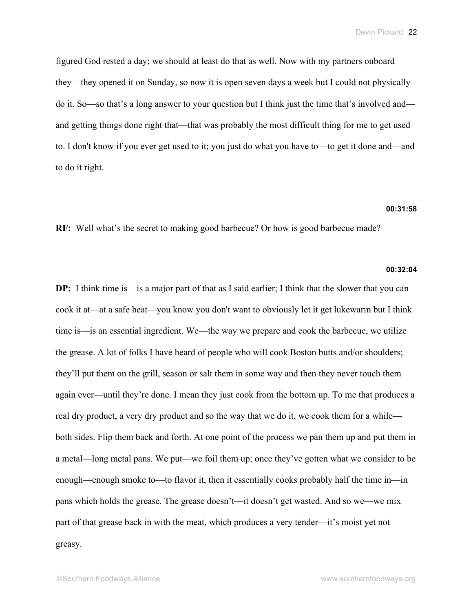figured God rested a day; we should at least do that as well. Now with my partners onboard they—they opened it on Sunday, so now it is open seven days a week but I could not physically do it. So—so that's a long answer to your question but I think just the time that's involved and and getting things done right that—that was probably the most difficult thing for me to get used to. I don't know if you ever get used to it; you just do what you have to—to get it done and—and to do it right.

# **00:31:58**

**RF:** Well what's the secret to making good barbecue? Or how is good barbecue made?

#### **00:32:04**

**DP:** I think time is—is a major part of that as I said earlier; I think that the slower that you can cook it at—at a safe heat—you know you don't want to obviously let it get lukewarm but I think time is—is an essential ingredient. We—the way we prepare and cook the barbecue, we utilize the grease. A lot of folks I have heard of people who will cook Boston butts and/or shoulders; they'll put them on the grill, season or salt them in some way and then they never touch them again ever—until they're done. I mean they just cook from the bottom up. To me that produces a real dry product, a very dry product and so the way that we do it, we cook them for a while both sides. Flip them back and forth. At one point of the process we pan them up and put them in a metal—long metal pans. We put—we foil them up; once they've gotten what we consider to be enough—enough smoke to—to flavor it, then it essentially cooks probably half the time in—in pans which holds the grease. The grease doesn't—it doesn't get wasted. And so we—we mix part of that grease back in with the meat, which produces a very tender—it's moist yet not greasy.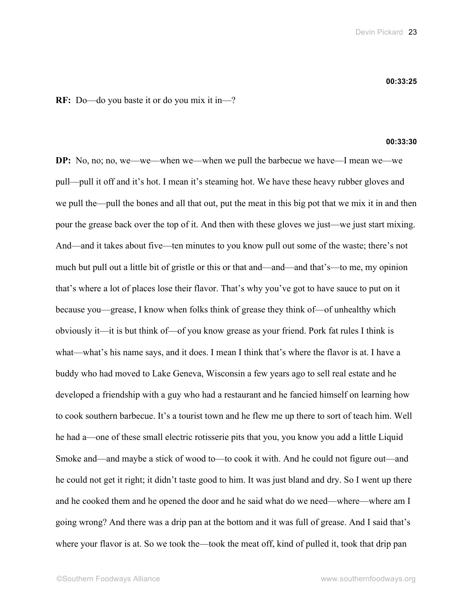**RF:** Do—do you baste it or do you mix it in—?

# **00:33:30**

**DP:** No, no; no, we—we—when we—when we pull the barbecue we have—I mean we—we pull—pull it off and it's hot. I mean it's steaming hot. We have these heavy rubber gloves and we pull the—pull the bones and all that out, put the meat in this big pot that we mix it in and then pour the grease back over the top of it. And then with these gloves we just—we just start mixing. And—and it takes about five—ten minutes to you know pull out some of the waste; there's not much but pull out a little bit of gristle or this or that and—and—and that's—to me, my opinion that's where a lot of places lose their flavor. That's why you've got to have sauce to put on it because you—grease, I know when folks think of grease they think of—of unhealthy which obviously it—it is but think of—of you know grease as your friend. Pork fat rules I think is what—what's his name says, and it does. I mean I think that's where the flavor is at. I have a buddy who had moved to Lake Geneva, Wisconsin a few years ago to sell real estate and he developed a friendship with a guy who had a restaurant and he fancied himself on learning how to cook southern barbecue. It's a tourist town and he flew me up there to sort of teach him. Well he had a—one of these small electric rotisserie pits that you, you know you add a little Liquid Smoke and—and maybe a stick of wood to—to cook it with. And he could not figure out—and he could not get it right; it didn't taste good to him. It was just bland and dry. So I went up there and he cooked them and he opened the door and he said what do we need—where—where am I going wrong? And there was a drip pan at the bottom and it was full of grease. And I said that's where your flavor is at. So we took the—took the meat off, kind of pulled it, took that drip pan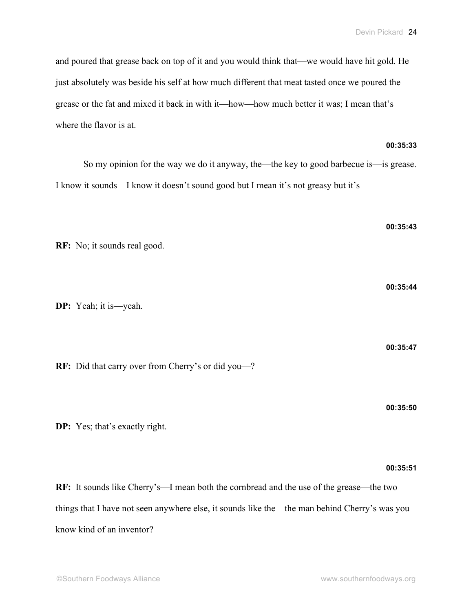**00:35:33**

**00:35:43**

**00:35:44**

**00:35:47**

and poured that grease back on top of it and you would think that—we would have hit gold. He just absolutely was beside his self at how much different that meat tasted once we poured the grease or the fat and mixed it back in with it—how—how much better it was; I mean that's where the flavor is at.

So my opinion for the way we do it anyway, the—the key to good barbecue is—is grease. I know it sounds—I know it doesn't sound good but I mean it's not greasy but it's—

**RF:** No; it sounds real good.

**DP:** Yeah; it is—yeah.

**RF:** Did that carry over from Cherry's or did you—?

**00:35:50**

**DP:** Yes; that's exactly right.

**00:35:51**

**RF:** It sounds like Cherry's—I mean both the cornbread and the use of the grease—the two things that I have not seen anywhere else, it sounds like the—the man behind Cherry's was you know kind of an inventor?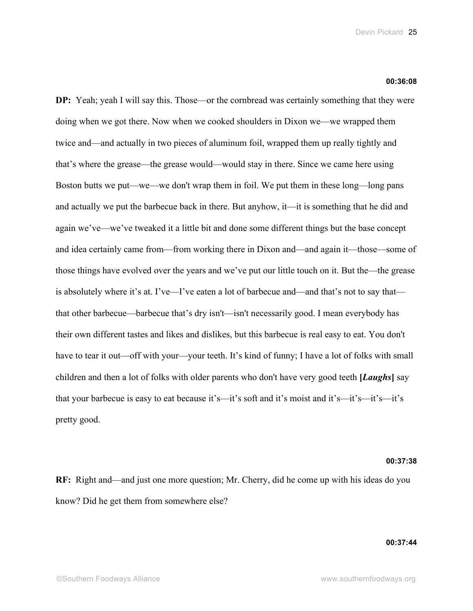**00:36:08**

**DP:** Yeah; yeah I will say this. Those—or the cornbread was certainly something that they were doing when we got there. Now when we cooked shoulders in Dixon we—we wrapped them twice and—and actually in two pieces of aluminum foil, wrapped them up really tightly and that's where the grease—the grease would—would stay in there. Since we came here using Boston butts we put—we—we don't wrap them in foil. We put them in these long—long pans and actually we put the barbecue back in there. But anyhow, it—it is something that he did and again we've—we've tweaked it a little bit and done some different things but the base concept and idea certainly came from—from working there in Dixon and—and again it—those—some of those things have evolved over the years and we've put our little touch on it. But the—the grease is absolutely where it's at. I've—I've eaten a lot of barbecue and—and that's not to say that that other barbecue—barbecue that's dry isn't—isn't necessarily good. I mean everybody has their own different tastes and likes and dislikes, but this barbecue is real easy to eat. You don't have to tear it out—off with your—your teeth. It's kind of funny; I have a lot of folks with small children and then a lot of folks with older parents who don't have very good teeth **[***Laughs***]** say that your barbecue is easy to eat because it's—it's soft and it's moist and it's—it's—it's—it's pretty good.

#### **00:37:38**

**RF:** Right and—and just one more question; Mr. Cherry, did he come up with his ideas do you know? Did he get them from somewhere else?

#### **00:37:44**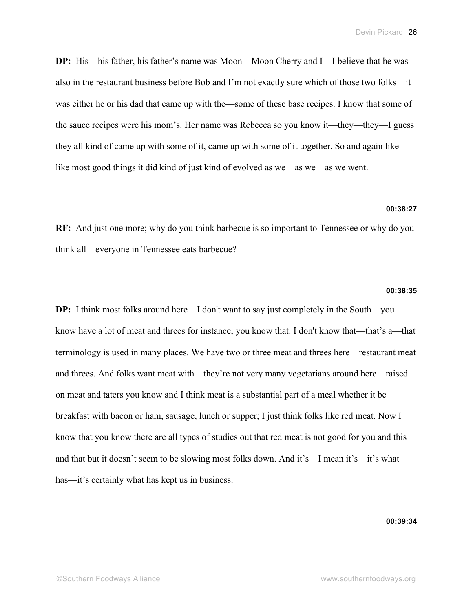**DP:** His—his father, his father's name was Moon—Moon Cherry and I—I believe that he was also in the restaurant business before Bob and I'm not exactly sure which of those two folks—it was either he or his dad that came up with the—some of these base recipes. I know that some of the sauce recipes were his mom's. Her name was Rebecca so you know it—they—they—I guess they all kind of came up with some of it, came up with some of it together. So and again like like most good things it did kind of just kind of evolved as we—as we—as we went.

# **00:38:27**

**RF:** And just one more; why do you think barbecue is so important to Tennessee or why do you think all—everyone in Tennessee eats barbecue?

## **00:38:35**

**DP:** I think most folks around here—I don't want to say just completely in the South—you know have a lot of meat and threes for instance; you know that. I don't know that—that's a—that terminology is used in many places. We have two or three meat and threes here—restaurant meat and threes. And folks want meat with—they're not very many vegetarians around here—raised on meat and taters you know and I think meat is a substantial part of a meal whether it be breakfast with bacon or ham, sausage, lunch or supper; I just think folks like red meat. Now I know that you know there are all types of studies out that red meat is not good for you and this and that but it doesn't seem to be slowing most folks down. And it's—I mean it's—it's what has—it's certainly what has kept us in business.

**00:39:34**